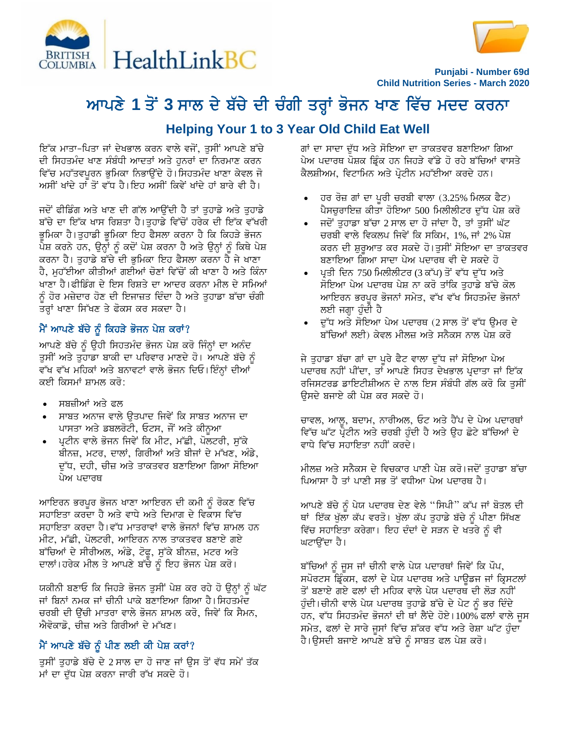



**Punjabi - Number 69d Child Nutrition Series - March 2020**

# ਆਪਣੇ 1 ਤੋਂ 3 ਸਾਲ ਦੇ ਬੱਚੇ ਦੀ ਚੰਗੀ ਤਰ੍ਹਾਂ ਭੋਜਨ ਖਾਣ ਵਿੱਚ ਮਦਦ ਕਰਨਾ

# **Helping Your 1 to 3 Year Old Child Eat Well**

ਇੱਕ ਮਾਤਾ-ਪਿਤਾ ਜਾਂ ਦੇਖਭਾਲ ਕਰਨ ਵਾਲੇ ਵਜੋਂ, ਤਸੀਂ ਆਪਣੇ ਬੱਚੇ ਦੀ ਸਿਹਤਮੰਦ ਖਾਣ ਸੰਬੰਧੀ ਆਦਤਾਂ ਅਤੇ ਹਨਰਾਂ ਦਾ ਨਿਰਮਾਣ ਕਰਨ ਵਿੱਚ ਮਹੱਤਵਪਰਨ ਭਮਿਕਾ ਨਿਭਾੳਂਦੇ ਹੋ।ਸਿਹਤਮੰਦ ਖਾਣਾ ਕੇਵਲ ਜੋ ਅਸੀਂ ਖਾਂਦੇ ਹਾਂ ਤੋਂ ਵੱਧ ਹੈ।ਇਹ ਅਸੀਂ ਕਿਵੇਂ ਖਾਂਦੇ ਹਾਂ ਬਾਰੇ ਵੀ ਹੈ।

ਜਦੋਂ ਫੀਡਿੰਗ ਅਤੇ ਖਾਣ ਦੀ ਗੱਲ ਆਉਂਦੀ ਹੈ ਤਾਂ ਤੁਹਾਡੇ ਅਤੇ ਤੁਹਾਡੇ ਬੱਚੇ ਦਾ ਇੱਕ ਖਾਸ ਰਿਸ਼ਤਾ ਹੈ।ਤੁਹਾਡੇ ਵਿੱਚੋਂ ਹਰੇਕ ਦੀ ਇੱਕ ਵੱਖਰੀ ਭੂਮਿਕਾ ਹੈ।ਤੁਹਾਡੀ ਭੂਮਿਕਾ ਇਹ ਫੈਸਲਾ ਕਰਨਾ ਹੈ ਕਿ ਕਿਹੜੇ ਭੋਜਨ ਪੇਸ਼ ਕਰਨੇ ਹਨ, ਉਨ੍ਹਾਂ ਨੂੰ ਕਦੋਂ ਪੇਸ਼ ਕਰਨਾ ਹੈ ਅਤੇ ਉਨ੍ਹਾਂ ਨੂੰ ਕਿਥੇ ਪੇਸ਼ ਕਰਨਾ ਹੈ। ਤਹਾਡੇ ਬੱਚੇ ਦੀ ਭਮਿਕਾ ਇਹ ਫੈਸਲਾ ਕਰਨਾ ਹੈ ਜੇ ਖਾਣਾ ਹੈ, ਮਹੱਈਆ ਕੀਤੀਆਂ ਗਈਆਂ ਚੋਣਾਂ ਵਿੱਚੋਂ ਕੀ ਖਾਣਾ ਹੈ ਅਤੇ ਕਿੰਨਾ ਖਾਣਾ ਹੈ।ਫੀਡਿੰਗ ਦੇ ਇਸ ਰਿਸ਼ਤੇ ਦਾ ਆਦਰ ਕਰਨਾ ਮੀਲ ਦੇ ਸਮਿਆਂ ਨੰ ਹੋਰ ਮਜ਼ੇਦਾਰ ਹੋਣ ਦੀ ਇਜਾਜ਼ਤ ਦਿੰਦਾ ਹੈ ਅਤੇ ਤਹਾਡਾ ਬੱਚਾ ਚੰਗੀ ਤਰ੍ਹਾਂ ਖਾਣਾ ਸਿੱਖਣ ਤੇ ਫੋਕਸ ਕਰ ਸਕਦਾ ਹੈ।

# $\hat{H}$  ਆਪਣੇ ਬੱਚੇ ਨੂੰ ਕਿਹੜੇ ਭੋਜਨ ਪੇਸ਼ ਕਰਾਂ?

<u>ਆਪਣੇ ਬੱਚੇ ਨੂੰ ਉਹੀ ਸਿਹਤਮੰਦ ਭੋਜਨ ਪੇਸ਼ ਕਰੋ ਜਿੰਨਾਂ ਦਾ ਅਨੰਦ</u> ਤਸੀਂ ਅਤੇ ਤਹਾਡਾ ਬਾਕੀ ਦਾ ਪਰਿਵਾਰ ਮਾਣਦੇ ਹੋ। ਆਪਣੇ ਬੱਚੇ ਨੰ ਵੱਖ ਵੱਖ ਮਹਿਕਾਂ ਅਤੇ ਬਨਾਵਟਾਂ ਵਾਲੇ ਭੋਜਨ ਦਿਓ। ਇੰਨ੍ਹਾਂ ਦੀਆਂ ਕਈ ਕਿਸਮਾਂ ਸ਼ਾਮਲ ਕਰੋ:

- ਸਬਜ਼ੀਆਂ ਅਤੇ ਫਲ
- ਸਾਬਤ ਅਨਾਜ ਵਾਲੇ ਉਤਪਾਦ ਜਿਵੇਂ ਕਿ ਸਾਬਤ ਅਨਾਜ ਦਾ ਪਾਸਤਾ ਅਤੇ ਡਬਲਰੋਟੀ, ਓਟਸ, ਜੌਂ ਅਤੇ ਕੀਨੁਆ
- *ਪ੍ਰਟੀਨ ਵਾਲੇ ਭੋ*ਜਨ ਜਿਵੇਂ ਕਿ ਮੀਟ, ਮੱਛੀ, ਪੋਲਟਰੀ, ਸੁੱਕੇ ਬੀਨਜ਼, ਮਟਰ, ਦਾਲਾਂ, ਗਿਰੀਆਂ ਅਤੇ ਬੀਜਾਂ ਦੇ ਮੱਖਣ, ਅੰਡੇ, ਦੁੱਧ, ਦਹੀ, ਚੀਜ਼ ਅਤੇ ਤਾਕਤਵਰ ਬਣਾਇਆ ਗਿਆ ਸੋਇਆ ਪੇਅ ਪਦਾਰਥ

ਆਇਰਨ ਭਰਪੁਰ ਭੋਜਨ ਖਾਣਾ ਆਇਰਨ ਦੀ ਕਮੀ ਨੂੰ ਰੋਕਣ ਵਿੱਚ ਸਹਾਇਤਾ ਕਰਦਾ ਹੈ ਅਤੇ ਵਾਧੇ ਅਤੇ ਦਿਮਾਗ ਦੇ ਵਿਕਾਸ ਵਿੱਚ ਸਹਾਇਤਾ ਕਰਦਾ ਹੈ।ਵੱਧ ਮਾਤਰਾਵਾਂ ਵਾਲੇ ਭੋਜਨਾਂ ਵਿੱਚ ਸ਼ਾਮਲ ਹਨ ਮੀਟ, ਮੱਛੀ, ਪੋਲਟਰੀ, ਆਇਰਨ ਨਾਲ ਤਾਕਤਵਰ ਬਣਾਏ ਗਏ ਬੱਚਿਆਂ ਦੇ ਸੀਰੀਅਲ, ਅੰਡੇ, ਟੋਫੂ, ਸੁੱਕੇ ਬੀਨਜ਼, ਮਟਰ ਅਤੇ ਦਾਲਾਂ।ਹਰੇਕ ਮੀਲ ਤੇ ਆਪਣੇ ਬੱਚੇ ਨੂੰ ਇਹ ਭੋਜਨ ਪੇਸ਼ ਕਰੋ।

ਯਕੀਨੀ ਬਣਾਓ ਕਿ ਜਿਹੜੇ ਭੋਜਨ ਤੁਸੀਂ ਪੇਸ਼ ਕਰ ਰਹੇ ਹੋ ਉਨ੍ਹਾਂ ਨੂੰ ਘੱਟ ਜਾਂ ਬਿਨਾਂ ਨਮਕ ਜਾਂ ਚੀਨੀ ਪਾਕੇ ਬਣਾਇਆ ਗਿਆ ਹੈ।ਸਿਹਤਮੰਦ ਚਰਬੀ ਦੀ ਉੱਚੀ ਮਾਤਰਾ ਵਾਲੇ ਭੋਜਨ ਸ਼ਾਮਲ ਕਰੋ, ਜਿਵੇਂ ਕਿ ਸੈਮਨ, ਐਵੋਕਾਡੋ, ਚੀਜ਼ ਅਤੇ ਗਿਰੀਆਂ ਦੇ ਮੱਖਣ।

# ਮੈਂ ਆਪਣੇ ਬੱਚੇ ਨੂੰ ਪੀਣ ਲਈ ਕੀ ਪੇਸ਼ ਕਰਾਂ?

ਤੁਸੀਂ ਤੁਹਾਡੇ ਬੱਚੇ ਦੇ 2 ਸਾਲ ਦਾ ਹੋ ਜਾਣ ਜਾਂ ਉਸ ਤੋਂ ਵੱਧ ਸਮੇਂ ਤੱਕ **ਮਾਂ ਦਾ ਦੁੱਧ ਪੇਸ਼ ਕਰਨਾ ਜਾਰੀ ਰੱਖ ਸਕਦੇ ਹੋ।** 

ਗਾਂ ਦਾ ਸਾਦਾ ਦੱਧ ਅਤੇ ਸੋਇਆ ਦਾ ਤਾਕਤਵਰ ਬਣਾਇਆ ਗਿਆ ਪੇਅ ਪਦਾਰਥ ਪੋਸ਼ਕ ਡ੍ਰਿੰਕ ਹਨ ਜਿਹੜੇ ਵੱਡੇ ਹੋ ਰਹੇ ਬੱਚਿਆਂ ਵਾਸਤੇ ਕੈਲਸ਼ੀਅਮ, ਵਿਟਾਮਿਨ ਅਤੇ ਪੋਟੀਨ ਮਹੱਈਆ ਕਰਦੇ ਹਨ।

- ਹਰ ਰੋਜ਼ ਗਾਂ ਦਾ ਪੂਰੀ ਚਰਬੀ ਵਾਲਾ (3.25% ਮਿਲਕ ਫੈਟ) ਪੈਸਚਰਾਇਜ਼ ਕੀਤਾ ਹੋਇਆ 500 ਮਿਲੀਲੀਟਰ ਦੱਧ ਪੇਸ਼ ਕਰੋ
- ਜਦੋਂ ਤਹਾਡਾ ਬੱਚਾ 2 ਸਾਲ ਦਾ ਹੋ ਜਾਂਦਾ ਹੈ, ਤਾਂ ਤਸੀਂ ਘੱਟ ਚਰਬੀ ਵਾਲੇ ਵਿਕਲਪ ਜਿਵੇਂ ਕਿ ਸਕਿਮ, 1%,ਜਾਂ 2% ਪੇਸ਼ ਕਰਨ ਦੀ ਸ਼ੁਰੂਆਤ ਕਰ ਸਕਦੇ ਹੋ।ਤੁਸੀਂ ਸੋਇਆ ਦਾ ਤਾਕਤਵਰ ਬਣਾਇਆ ਗਿਆ ਸਾਦਾ ਪੇਅ ਪਦਾਰਥ ਵੀ ਦੇ ਸਕਦੇ ਹੋ
- ਪੂਤੀ ਦਿਨ 750 ਮਿਲੀਲੀਟਰ (3 ਕੱਪ) ਤੋਂ ਵੱਧ ਦੁੱਧ ਅਤੇ ਸੋਇਆ ਪੇਅ ਪਦਾਰਥ ਪੇਸ਼ ਨਾ ਕਰੋ ਤਾਂਕਿ ਤਹਾਡੇ ਬੱਚੇ ਕੋਲ ਆਇਰਨ ਭਰਪਰ ਭੋਜਨਾਂ ਸਮੇਤ, ਵੱਖ ਵੱਖ ਸਿਹਤਮੰਦ ਭੋਜਨਾ<u>ਂ</u> ਲਈ ਜਗ੍ਹਾ ਹੰਦੀ ਹੈ
- ਦੱਧ ਅਤੇ ਸੋਇਆ ਪੇਅ ਪਦਾਰਥ (2 ਸਾਲ ਤੋਂ ਵੱਧ ਉਮਰ ਦੇ ਬੱਚਿਆਂ ਲਈ) ਕੇਵਲ ਮੀਲਜ਼ ਅਤੇ ਸਨੈਕਸ ਨਾਲ ਪੇਸ਼ ਕਰੋ

ਜੇ ਤੁਹਾਡਾ ਬੱਚਾ ਗਾਂ ਦਾ ਪੂਰੇ ਫੈਟ ਵਾਲਾ ਦੁੱਧ ਜਾਂ ਸੋਇਆ ਪੇਅ ਪਦਾਰਥ ਨਹੀਂ ਪੀਂਦਾ, ਤਾਂ ਆਪਣੇ ਸਿਹਤ ਦੇਖਭਾਲ ਪੁਦਾਤਾ ਜਾਂ ਇੱਕ ਰਜਿਸਟਰਡ ਡਾਇਟੀਸ਼ੀਅਨ ਦੇ ਨਾਲ ਇਸ ਸੰਬੰਧੀ ਗੱਲ ਕਰੋ ਕਿ ਤਸੀ<del>ਂ</del> ਓਸਦੇ ਬਜਾਏ ਕੀ ਪੇਸ਼ ਕਰ ਸਕਦੇ ਹੋ।

ਚਾਵਲ, ਆਲੂ, ਬਦਾਮ, ਨਾਰੀਅਲ, ਓਟ ਅਤੇ ਹੈਂਪ ਦੇ ਪੇਅ ਪਦਾਰਥਾਂ ਵਿੱਚ ਘੱਟ ਪੇਟੀਨ ਅਤੇ ਚਰਬੀ ਹੰਦੀ ਹੈ ਅਤੇ ੳਹ ਛੋਟੇ ਬੱਚਿਆਂ ਦੇ ਵਾਧੇ ਵਿੱਚ ਸਹਾਇਤਾ ਨਹੀਂ ਕਰਦੇ।

ਮੀਲਜ਼ ਅਤੇ ਸਨੈਕਸ ਦੇ ਵਿਚਕਾਰ ਪਾਣੀ ਪੇਸ਼ ਕਰੋ।ਜਦੋਂ ਤਹਾਡਾ ਬੱਚਾ ਪਿਆਸਾ ਹੈ ਤਾਂ ਪਾਣੀ ਸਭ ਤੋਂ ਵਧੀਆ ਪੇਅ ਪਦਾਰਥ ਹੈ।

ਆਪਣੇ ਬੱਚੇ ਨੂੰ ਪੇਯ ਪਦਾਰਥ ਦੇਣ ਵੇਲੇ "ਸਿਪੀ" ਕੱਪ ਜਾਂ ਬੋਤਲ ਦੀ ਥਾਂ ਇੱਕ ਖੁੱਲਾ ਕੱਪ ਵਰਤੋ। ਖੁੱਲਾ ਕੱਪ ਤੁਹਾਡੇ ਬੱਚੇ ਨੂੰ ਪੀਣਾ ਸਿੱਖਣ ਵਿੱਚ ਸਹਾਇਤਾ ਕਰੇਗਾ। ਇਹ ਦੰਦਾਂ ਦੇ ਸੜਨ ਦੇ ਖਤਰੇ ਨੂੰ ਵੀ ਘਟਾਉਂਦਾ ਹੈ।

ਬੱਚਿਆਂ ਨੂੰ ਜੂਸ ਜਾਂ ਚੀਨੀ ਵਾਲੇ ਪੇਯ ਪਦਾਰਥਾਂ ਜਿਵੇਂ ਕਿ ਪੌਪ, ਸਪੋਰਟਸ ਡਿੰਕਸ, ਫਲਾਂ ਦੇ ਪੇਯ ਪਦਾਰਥ ਅਤੇ ਪਾੳਡਜ ਜਾਂ ਕ੍ਰਿਸਟਲਾਂ ਤੋਂ ਬਣਾਏ ਗਏ ਫਲਾਂ ਦੀ ਮਹਿਕ ਵਾਲੇ ਪੇਯ ਪਦਾਰਥ ਦੀ ਲੋੜ ਨਹੀਂ ਹੁੰਦੀ।ਚੀਨੀ ਵਾਲੇ ਪੇਯ ਪਦਾਰਥ ਤੁਹਾਡੇ ਬੱਚੇ ਦੇ ਪੇਟ ਨੂੰ ਭਰ ਦਿੰਦੇ ਹਨ, ਵੱਧ ਸਿਹਤਮੰਦ ਭੋਜਨਾਂ ਦੀ ਥਾਂ ਲੈਂਦੇ ਹੋਏ।100% ਫਲਾਂ ਵਾਲੇ ਜੁਸ ਸਮੇਤ, ਫਲਾਂ ਦੇ ਸਾਰੇ ਜੁਸਾਂ ਵਿੱਚ ਸ਼ੱਕਰ ਵੱਧ ਅਤੇ ਰੇਸ਼ਾ ਘੱਟ ਹੁੰਦਾ ਹੈ।ਉਸਦੀ ਬਜਾਏ ਆਪਣੇ ਬੱਚੇ ਨੂੰ ਸਾਬਤ ਫਲ ਪੇਸ਼ ਕਰੋ।